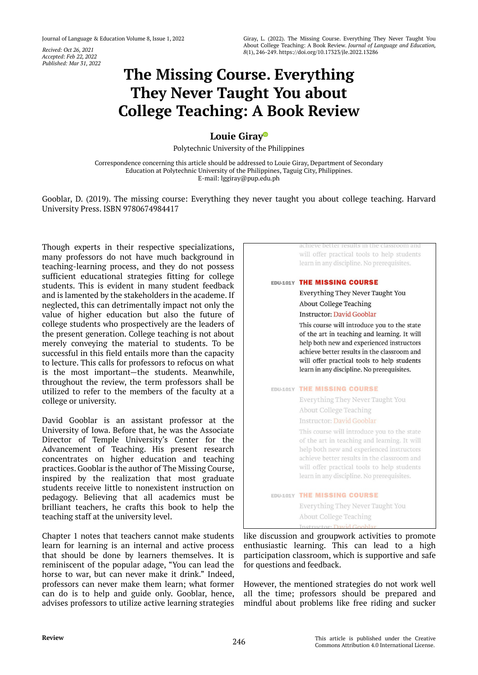*Accepted: Feb 22, 2022 Published: Mar 31, 2022*

# **The Missing Course. Everything They Never Taught You about College Teaching: A Book Review**

## **Louie Gira[y](https://orcid.org/0000-0002-1940-035X)**

Polytechnic University of the Philippines

Correspondence concerning this article should be addressed to Louie Giray, Department of Secondary Education at Polytechnic University of the Philippines, Taguig City, Philippines. E-mail: lggiray@pup.edu.ph

Gooblar, D. (2019). The missing course: Everything they never taught you about college teaching. Harvard University Press. ISBN 9780674984417

Though experts in their respective specializations, many professors do not have much background in teaching-learning process, and they do not possess sufficient educational strategies fitting for college students. This is evident in many student feedback and is lamented by the stakeholders in the academe. If neglected, this can detrimentally impact not only the value of higher education but also the future of college students who prospectively are the leaders of the present generation. College teaching is not about merely conveying the material to students. To be successful in this field entails more than the capacity to lecture. This calls for professors to refocus on what is the most important—the students. Meanwhile, throughout the review, the term professors shall be utilized to refer to the members of the faculty at a college or university.

David Gooblar is an assistant professor at the University of Iowa. Before that, he was the Associate Director of Temple University's Center for the Advancement of Teaching. His present research concentrates on higher education and teaching practices. Gooblar is the author of The Missing Course, inspired by the realization that most graduate students receive little to nonexistent instruction on pedagogy. Believing that all academics must be brilliant teachers, he crafts this book to help the teaching staff at the university level.

Chapter 1 notes that teachers cannot make students learn for learning is an internal and active process that should be done by learners themselves. It is reminiscent of the popular adage, "You can lead the horse to war, but can never make it drink." Indeed, professors can never make them learn; what former can do is to help and guide only. Gooblar, hence, advises professors to utilize active learning strategies



like discussion and groupwork activities to promote enthusiastic learning. This can lead to a high participation classroom, which is supportive and safe for questions and feedback.

However, the mentioned strategies do not work well all the time; professors should be prepared and mindful about problems like free riding and sucker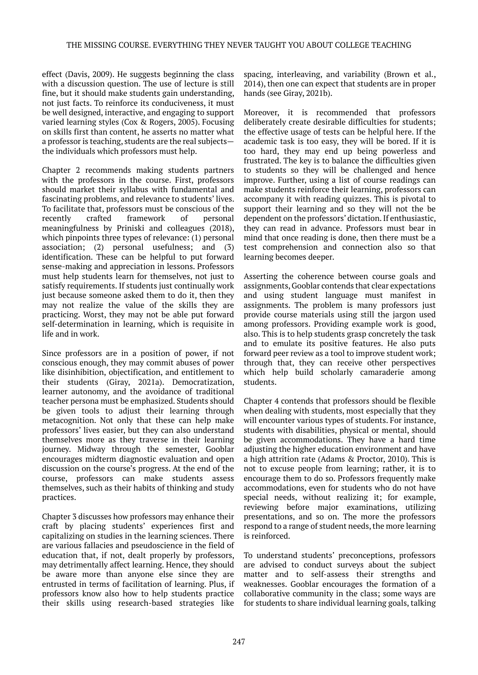effect (Davis, 2009). He suggests beginning the class with a discussion question. The use of lecture is still fine, but it should make students gain understanding, not just facts. To reinforce its conduciveness, it must be well designed, interactive, and engaging to support varied learning styles (Cox & Rogers, 2005). Focusing on skills first than content, he asserts no matter what a professor is teaching, students are the real subjects the individuals which professors must help.

Chapter 2 recommends making students partners with the professors in the course. First, professors should market their syllabus with fundamental and fascinating problems, and relevance to students' lives. To facilitate that, professors must be conscious of the recently crafted framework of personal meaningfulness by Priniski and colleagues (2018), which pinpoints three types of relevance: (1) personal association; (2) personal usefulness; and (3) identification. These can be helpful to put forward sense-making and appreciation in lessons. Professors must help students learn for themselves, not just to satisfy requirements. If students just continually work just because someone asked them to do it, then they may not realize the value of the skills they are practicing. Worst, they may not be able put forward self-determination in learning, which is requisite in life and in work.

Since professors are in a position of power, if not conscious enough, they may commit abuses of power like disinhibition, objectification, and entitlement to their students (Giray, 2021a). Democratization, learner autonomy, and the avoidance of traditional teacher persona must be emphasized. Students should be given tools to adjust their learning through metacognition. Not only that these can help make professors' lives easier, but they can also understand themselves more as they traverse in their learning journey. Midway through the semester, Gooblar encourages midterm diagnostic evaluation and open discussion on the course's progress. At the end of the course, professors can make students assess themselves, such as their habits of thinking and study practices.

Chapter 3 discusses how professors may enhance their craft by placing students' experiences first and capitalizing on studies in the learning sciences. There are various fallacies and pseudoscience in the field of education that, if not, dealt properly by professors, may detrimentally affect learning. Hence, they should be aware more than anyone else since they are entrusted in terms of facilitation of learning. Plus, if professors know also how to help students practice their skills using research-based strategies like

spacing, interleaving, and variability (Brown et al., 2014), then one can expect that students are in proper hands (see Giray, 2021b).

Moreover, it is recommended that professors deliberately create desirable difficulties for students; the effective usage of tests can be helpful here. If the academic task is too easy, they will be bored. If it is too hard, they may end up being powerless and frustrated. The key is to balance the difficulties given to students so they will be challenged and hence improve. Further, using a list of course readings can make students reinforce their learning, professors can accompany it with reading quizzes. This is pivotal to support their learning and so they will not the be dependent on the professors' dictation. If enthusiastic, they can read in advance. Professors must bear in mind that once reading is done, then there must be a test comprehension and connection also so that learning becomes deeper.

Asserting the coherence between course goals and assignments, Gooblar contends that clear expectations and using student language must manifest in assignments. The problem is many professors just provide course materials using still the jargon used among professors. Providing example work is good, also. This is to help students grasp concretely the task and to emulate its positive features. He also puts forward peer review as a tool to improve student work; through that, they can receive other perspectives which help build scholarly camaraderie among students.

Chapter 4 contends that professors should be flexible when dealing with students, most especially that they will encounter various types of students. For instance, students with disabilities, physical or mental, should be given accommodations. They have a hard time adjusting the higher education environment and have a high attrition rate (Adams & Proctor, 2010). This is not to excuse people from learning; rather, it is to encourage them to do so. Professors frequently make accommodations, even for students who do not have special needs, without realizing it; for example, reviewing before major examinations, utilizing presentations, and so on. The more the professors respond to a range of student needs, the more learning is reinforced.

To understand students' preconceptions, professors are advised to conduct surveys about the subject matter and to self-assess their strengths and weaknesses. Gooblar encourages the formation of a collaborative community in the class; some ways are for students to share individual learning goals, talking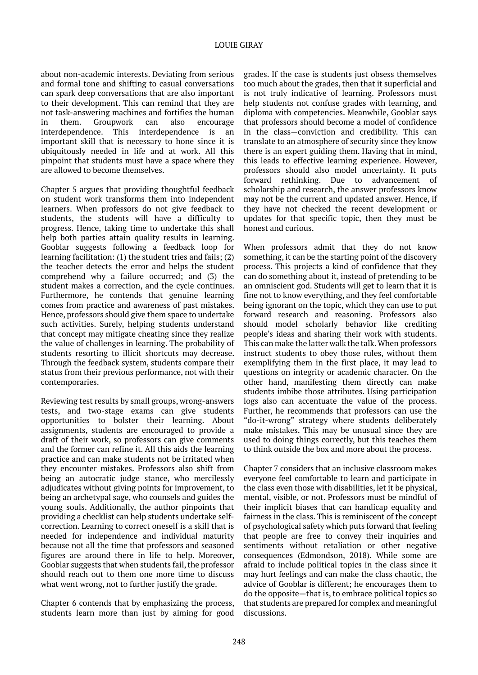#### LOUIE GIRAY

about non-academic interests. Deviating from serious and formal tone and shifting to casual conversations can spark deep conversations that are also important to their development. This can remind that they are not task-answering machines and fortifies the human in them. Groupwork can also encourage interdependence. This interdependence is an important skill that is necessary to hone since it is ubiquitously needed in life and at work. All this pinpoint that students must have a space where they are allowed to become themselves.

Chapter 5 argues that providing thoughtful feedback on student work transforms them into independent learners. When professors do not give feedback to students, the students will have a difficulty to progress. Hence, taking time to undertake this shall help both parties attain quality results in learning. Gooblar suggests following a feedback loop for learning facilitation: (1) the student tries and fails; (2) the teacher detects the error and helps the student comprehend why a failure occurred; and (3) the student makes a correction, and the cycle continues. Furthermore, he contends that genuine learning comes from practice and awareness of past mistakes. Hence, professors should give them space to undertake such activities. Surely, helping students understand that concept may mitigate cheating since they realize the value of challenges in learning. The probability of students resorting to illicit shortcuts may decrease. Through the feedback system, students compare their status from their previous performance, not with their contemporaries.

Reviewing test results by small groups, wrong-answers tests, and two-stage exams can give students opportunities to bolster their learning. About assignments, students are encouraged to provide a draft of their work, so professors can give comments and the former can refine it. All this aids the learning practice and can make students not be irritated when they encounter mistakes. Professors also shift from being an autocratic judge stance, who mercilessly adjudicates without giving points for improvement, to being an archetypal sage, who counsels and guides the young souls. Additionally, the author pinpoints that providing a checklist can help students undertake selfcorrection. Learning to correct oneself is a skill that is needed for independence and individual maturity because not all the time that professors and seasoned figures are around there in life to help. Moreover, Gooblar suggests that when students fail, the professor should reach out to them one more time to discuss what went wrong, not to further justify the grade.

Chapter 6 contends that by emphasizing the process, students learn more than just by aiming for good

grades. If the case is students just obsess themselves too much about the grades, then that it superficial and is not truly indicative of learning. Professors must help students not confuse grades with learning, and diploma with competencies. Meanwhile, Gooblar says that professors should become a model of confidence in the class—conviction and credibility. This can translate to an atmosphere of security since they know there is an expert guiding them. Having that in mind, this leads to effective learning experience. However, professors should also model uncertainty. It puts forward rethinking. Due to advancement of scholarship and research, the answer professors know may not be the current and updated answer. Hence, if they have not checked the recent development or updates for that specific topic, then they must be honest and curious.

When professors admit that they do not know something, it can be the starting point of the discovery process. This projects a kind of confidence that they can do something about it, instead of pretending to be an omniscient god. Students will get to learn that it is fine not to know everything, and they feel comfortable being ignorant on the topic, which they can use to put forward research and reasoning. Professors also should model scholarly behavior like crediting people's ideas and sharing their work with students. This can make the latter walk the talk. When professors instruct students to obey those rules, without them exemplifying them in the first place, it may lead to questions on integrity or academic character. On the other hand, manifesting them directly can make students imbibe those attributes. Using participation logs also can accentuate the value of the process. Further, he recommends that professors can use the "do-it-wrong" strategy where students deliberately make mistakes. This may be unusual since they are used to doing things correctly, but this teaches them to think outside the box and more about the process.

Chapter 7 considers that an inclusive classroom makes everyone feel comfortable to learn and participate in the class even those with disabilities, let it be physical, mental, visible, or not. Professors must be mindful of their implicit biases that can handicap equality and fairness in the class. This is reminiscent of the concept of psychological safety which puts forward that feeling that people are free to convey their inquiries and sentiments without retaliation or other negative consequences (Edmondson, 2018). While some are afraid to include political topics in the class since it may hurt feelings and can make the class chaotic, the advice of Gooblar is different; he encourages them to do the opposite—that is, to embrace political topics so that students are prepared for complex and meaningful discussions.